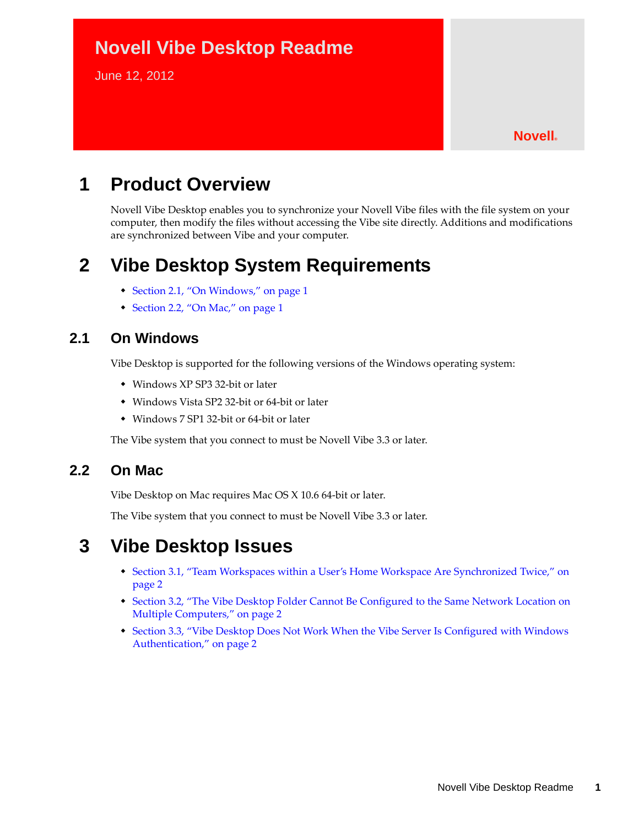# **Novell Vibe Desktop Readme**

June 12, 2012

#### **Novell®**

# **1 Product Overview**

Novell Vibe Desktop enables you to synchronize your Novell Vibe files with the file system on your computer, then modify the files without accessing the Vibe site directly. Additions and modifications are synchronized between Vibe and your computer.

## **2 Vibe Desktop System Requirements**

- [Section 2.1, "On Windows," on page 1](#page-0-0)
- [Section 2.2, "On Mac," on page 1](#page-0-1)

### <span id="page-0-0"></span>**2.1 On Windows**

Vibe Desktop is supported for the following versions of the Windows operating system:

- Windows XP SP3 32-bit or later
- Windows Vista SP2 32-bit or 64-bit or later
- Windows 7 SP1 32-bit or 64-bit or later

The Vibe system that you connect to must be Novell Vibe 3.3 or later.

#### <span id="page-0-1"></span>**2.2 On Mac**

Vibe Desktop on Mac requires Mac OS X 10.6 64-bit or later.

The Vibe system that you connect to must be Novell Vibe 3.3 or later.

## **3 Vibe Desktop Issues**

- [Section 3.1, "Team Workspaces within a User's Home Workspace Are Synchronized Twice," on](#page-1-0)  [page 2](#page-1-0)
- [Section 3.2, "The Vibe Desktop Folder Cannot Be Configured to the Same Network Location on](#page-1-1)  [Multiple Computers," on page 2](#page-1-1)
- [Section 3.3, "Vibe Desktop Does Not Work When the Vibe Server Is Configured with Windows](#page-1-2)  [Authentication," on page 2](#page-1-2)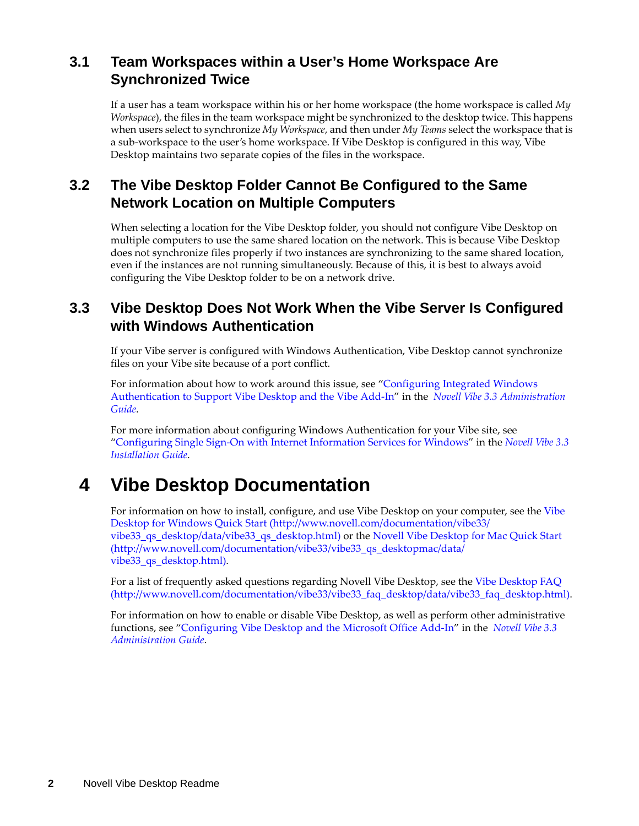### <span id="page-1-0"></span>**3.1 Team Workspaces within a User's Home Workspace Are Synchronized Twice**

If a user has a team workspace within his or her home workspace (the home workspace is called *My Workspace*), the files in the team workspace might be synchronized to the desktop twice. This happens when users select to synchronize *My Workspace*, and then under *My Teams* select the workspace that is a sub-workspace to the user's home workspace. If Vibe Desktop is configured in this way, Vibe Desktop maintains two separate copies of the files in the workspace.

## <span id="page-1-1"></span>**3.2 The Vibe Desktop Folder Cannot Be Configured to the Same Network Location on Multiple Computers**

When selecting a location for the Vibe Desktop folder, you should not configure Vibe Desktop on multiple computers to use the same shared location on the network. This is because Vibe Desktop does not synchronize files properly if two instances are synchronizing to the same shared location, even if the instances are not running simultaneously. Because of this, it is best to always avoid configuring the Vibe Desktop folder to be on a network drive.

### <span id="page-1-2"></span>**3.3 Vibe Desktop Does Not Work When the Vibe Server Is Configured with Windows Authentication**

If your Vibe server is configured with Windows Authentication, Vibe Desktop cannot synchronize files on your Vibe site because of a port conflict.

For information about how to work around this issue, see "Configuring Integrated Windows Authentication to Support Vibe Desktop and the Vibe Add-In" in the *Novell Vibe 3.3 Administration Guide*.

For more information about configuring Windows Authentication for your Vibe site, see "Configuring Single Sign-On with Internet Information Services for Windows" in the *Novell Vibe 3.3 Installation Guide*.

# **4 Vibe Desktop Documentation**

For information on how to install, configure, and use Vibe Desktop on your computer, see the [Vibe](http://www.novell.com/documentation/vibe33/vibe33_qs_desktop/data/vibe33_qs_desktop.html)  [Desktop for Windows Quick Start](http://www.novell.com/documentation/vibe33/vibe33_qs_desktop/data/vibe33_qs_desktop.html) (http://www.novell.com/documentation/vibe33/ vibe33\_qs\_desktop/data/vibe33\_qs\_desktop.html) or the [Novell Vibe Desktop for Mac Quick Start](http://www.novell.com/documentation/vibe33/vibe33_qs_desktopmac/data/vibe33_qs_desktop.html)  (http://www.novell.com/documentation/vibe33/vibe33\_qs\_desktopmac/data/ vibe33\_qs\_desktop.html).

For a list of frequently asked questions regarding Novell Vibe Desktop, see the [Vibe Desktop FAQ](http://www.novell.com/documentation/vibe33/vibe33_faq_desktop/data/vibe33_faq_desktop.html) (http://www.novell.com/documentation/vibe33/vibe33\_faq\_desktop/data/vibe33\_faq\_desktop.html).

For information on how to enable or disable Vibe Desktop, as well as perform other administrative functions, see "Configuring Vibe Desktop and the Microsoft Office Add-In" in the *Novell Vibe 3.3 Administration Guide*.